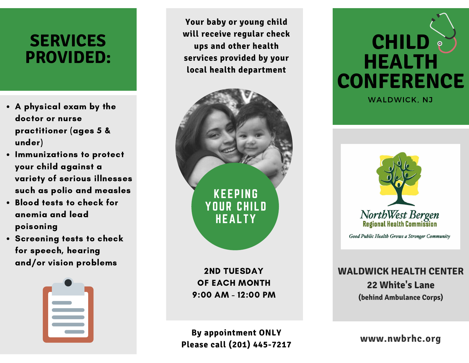## **SERVICES PROVIDED:**

- A physical exam by the doctor or nurse practitioner (ages 5 & under)
- **.** Immunizations to protect your child against a variety of serious illnesses such as polio and measles
- Blood tests to check for anemia and lead poisoning
- **Screening tests to check** for speech, hearing and/or vision problems



**Your baby or young child will receive regular check ups and other health services provided by your local health department**



2ND TUESDAY OF EACH MONTH 9:00 AM - 12:00 PM

**By appointment ONLY Please call (201) 445-7217**



WALDWICK, NJ



Good Public Health Grows a Stronger Community

**WALDWICK HEALTH CENTER 22 White's Lane (behind Ambulance Corps)**

**www.nwbrhc.org**